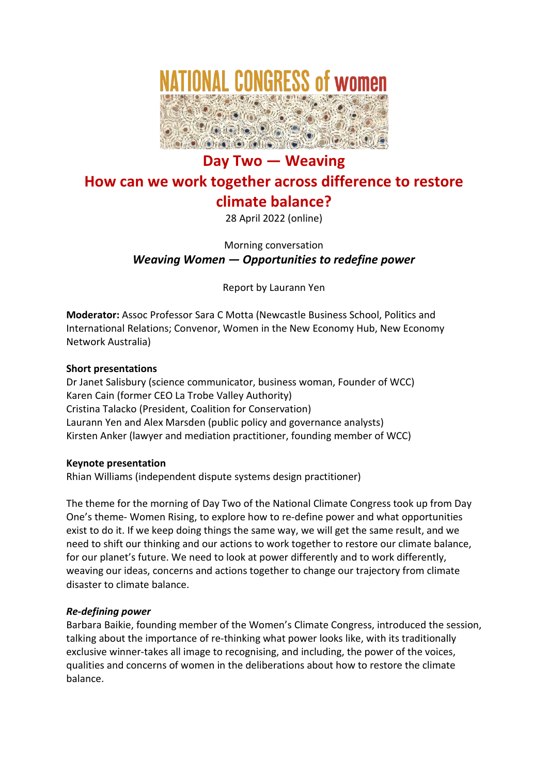

# **Day Two — Weaving How can we work together across difference to restore climate balance?**

28 April 2022 (online)

Morning conversation *Weaving Women — Opportunities to redefine power*

Report by Laurann Yen

**Moderator:** Assoc Professor Sara C Motta (Newcastle Business School, Politics and International Relations; Convenor, Women in the New Economy Hub, New Economy Network Australia)

## **Short presentations**

Dr Janet Salisbury (science communicator, business woman, Founder of WCC) Karen Cain (former CEO La Trobe Valley Authority) Cristina Talacko (President, Coalition for Conservation) Laurann Yen and Alex Marsden (public policy and governance analysts) Kirsten Anker (lawyer and mediation practitioner, founding member of WCC)

## **Keynote presentation**

Rhian Williams (independent dispute systems design practitioner)

The theme for the morning of Day Two of the National Climate Congress took up from Day One's theme- Women Rising, to explore how to re-define power and what opportunities exist to do it. If we keep doing things the same way, we will get the same result, and we need to shift our thinking and our actions to work together to restore our climate balance, for our planet's future. We need to look at power differently and to work differently, weaving our ideas, concerns and actions together to change our trajectory from climate disaster to climate balance.

## *Re-defining power*

Barbara Baikie, founding member of the Women's Climate Congress, introduced the session, talking about the importance of re-thinking what power looks like, with its traditionally exclusive winner-takes all image to recognising, and including, the power of the voices, qualities and concerns of women in the deliberations about how to restore the climate balance.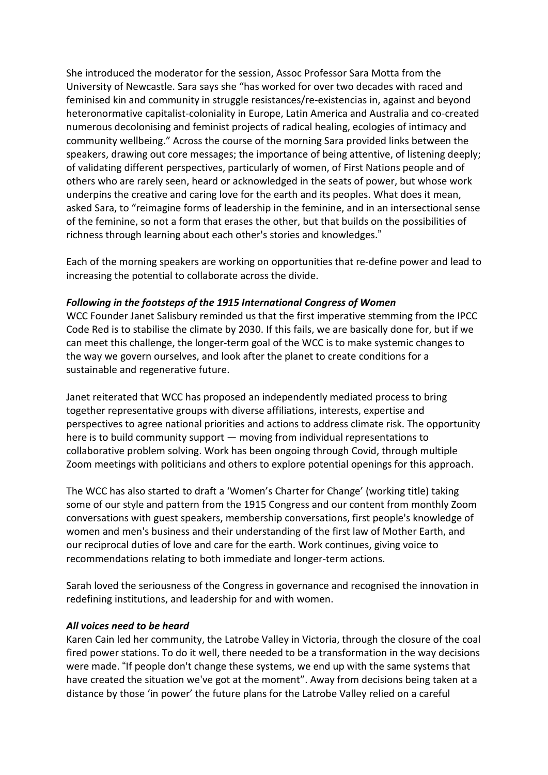She introduced the moderator for the session, Assoc Professor Sara Motta from the University of Newcastle. Sara says she "has worked for over two decades with raced and feminised kin and community in struggle resistances/re-existencias in, against and beyond heteronormative capitalist-coloniality in Europe, Latin America and Australia and co-created numerous decolonising and feminist projects of radical healing, ecologies of intimacy and community wellbeing." Across the course of the morning Sara provided links between the speakers, drawing out core messages; the importance of being attentive, of listening deeply; of validating different perspectives, particularly of women, of First Nations people and of others who are rarely seen, heard or acknowledged in the seats of power, but whose work underpins the creative and caring love for the earth and its peoples. What does it mean, asked Sara, to "reimagine forms of leadership in the feminine, and in an intersectional sense of the feminine, so not a form that erases the other, but that builds on the possibilities of richness through learning about each other's stories and knowledges."

Each of the morning speakers are working on opportunities that re-define power and lead to increasing the potential to collaborate across the divide.

#### *Following in the footsteps of the 1915 International Congress of Women*

WCC Founder Janet Salisbury reminded us that the first imperative stemming from the IPCC Code Red is to stabilise the climate by 2030. If this fails, we are basically done for, but if we can meet this challenge, the longer-term goal of the WCC is to make systemic changes to the way we govern ourselves, and look after the planet to create conditions for a sustainable and regenerative future.

Janet reiterated that WCC has proposed an independently mediated process to bring together representative groups with diverse affiliations, interests, expertise and perspectives to agree national priorities and actions to address climate risk. The opportunity here is to build community support — moving from individual representations to collaborative problem solving. Work has been ongoing through Covid, through multiple Zoom meetings with politicians and others to explore potential openings for this approach.

The WCC has also started to draft a 'Women's Charter for Change' (working title) taking some of our style and pattern from the 1915 Congress and our content from monthly Zoom conversations with guest speakers, membership conversations, first people's knowledge of women and men's business and their understanding of the first law of Mother Earth, and our reciprocal duties of love and care for the earth. Work continues, giving voice to recommendations relating to both immediate and longer-term actions.

Sarah loved the seriousness of the Congress in governance and recognised the innovation in redefining institutions, and leadership for and with women.

#### *All voices need to be heard*

Karen Cain led her community, the Latrobe Valley in Victoria, through the closure of the coal fired power stations. To do it well, there needed to be a transformation in the way decisions were made. "If people don't change these systems, we end up with the same systems that have created the situation we've got at the moment". Away from decisions being taken at a distance by those 'in power' the future plans for the Latrobe Valley relied on a careful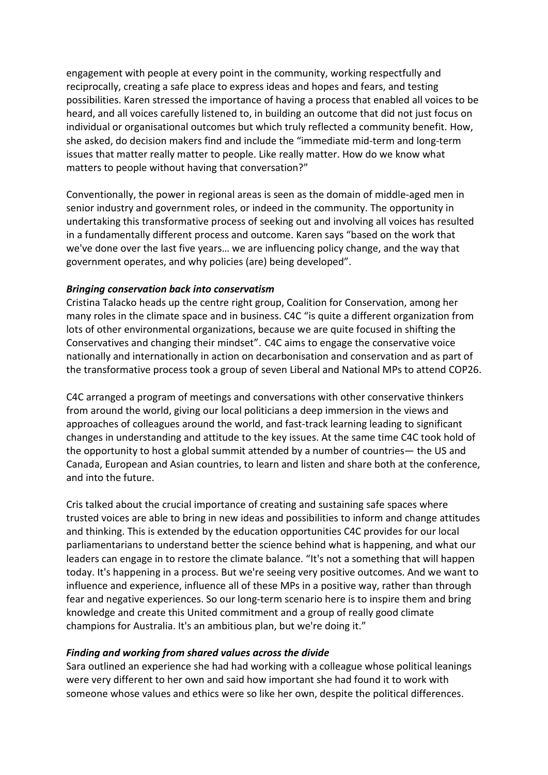engagement with people at every point in the community, working respectfully and reciprocally, creating a safe place to express ideas and hopes and fears, and testing possibilities. Karen stressed the importance of having a process that enabled all voices to be heard, and all voices carefully listened to, in building an outcome that did not just focus on individual or organisational outcomes but which truly reflected a community benefit. How, she asked, do decision makers find and include the "immediate mid-term and long-term issues that matter really matter to people. Like really matter. How do we know what matters to people without having that conversation?"

Conventionally, the power in regional areas is seen as the domain of middle-aged men in senior industry and government roles, or indeed in the community. The opportunity in undertaking this transformative process of seeking out and involving all voices has resulted in a fundamentally different process and outcome. Karen says "based on the work that we've done over the last five years… we are influencing policy change, and the way that government operates, and why policies (are) being developed".

#### *Bringing conservation back into conservatism*

Cristina Talacko heads up the centre right group, Coalition for Conservation, among her many roles in the climate space and in business. C4C "is quite a different organization from lots of other environmental organizations, because we are quite focused in shifting the Conservatives and changing their mindset". C4C aims to engage the conservative voice nationally and internationally in action on decarbonisation and conservation and as part of the transformative process took a group of seven Liberal and National MPs to attend COP26.

C4C arranged a program of meetings and conversations with other conservative thinkers from around the world, giving our local politicians a deep immersion in the views and approaches of colleagues around the world, and fast-track learning leading to significant changes in understanding and attitude to the key issues. At the same time C4C took hold of the opportunity to host a global summit attended by a number of countries— the US and Canada, European and Asian countries, to learn and listen and share both at the conference, and into the future.

Cris talked about the crucial importance of creating and sustaining safe spaces where trusted voices are able to bring in new ideas and possibilities to inform and change attitudes and thinking. This is extended by the education opportunities C4C provides for our local parliamentarians to understand better the science behind what is happening, and what our leaders can engage in to restore the climate balance. "It's not a something that will happen today. It's happening in a process. But we're seeing very positive outcomes. And we want to influence and experience, influence all of these MPs in a positive way, rather than through fear and negative experiences. So our long-term scenario here is to inspire them and bring knowledge and create this United commitment and a group of really good climate champions for Australia. It's an ambitious plan, but we're doing it."

#### *Finding and working from shared values across the divide*

Sara outlined an experience she had had working with a colleague whose political leanings were very different to her own and said how important she had found it to work with someone whose values and ethics were so like her own, despite the political differences.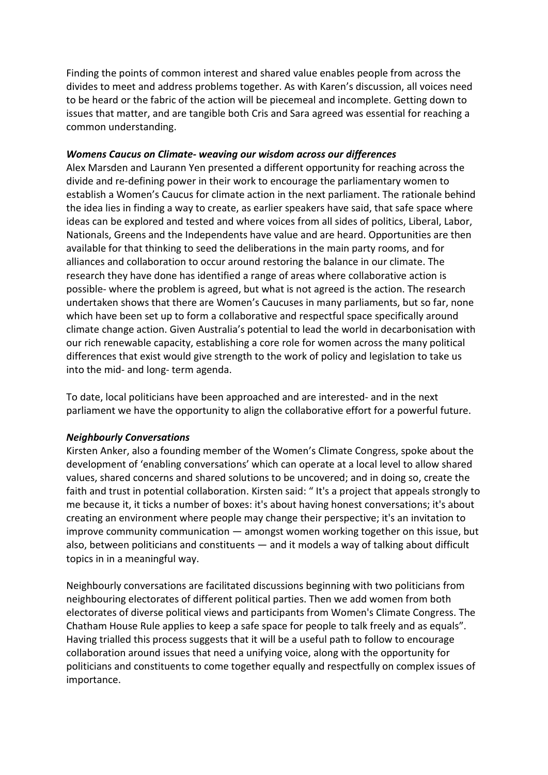Finding the points of common interest and shared value enables people from across the divides to meet and address problems together. As with Karen's discussion, all voices need to be heard or the fabric of the action will be piecemeal and incomplete. Getting down to issues that matter, and are tangible both Cris and Sara agreed was essential for reaching a common understanding.

#### *Womens Caucus on Climate- weaving our wisdom across our differences*

Alex Marsden and Laurann Yen presented a different opportunity for reaching across the divide and re-defining power in their work to encourage the parliamentary women to establish a Women's Caucus for climate action in the next parliament. The rationale behind the idea lies in finding a way to create, as earlier speakers have said, that safe space where ideas can be explored and tested and where voices from all sides of politics, Liberal, Labor, Nationals, Greens and the Independents have value and are heard. Opportunities are then available for that thinking to seed the deliberations in the main party rooms, and for alliances and collaboration to occur around restoring the balance in our climate. The research they have done has identified a range of areas where collaborative action is possible- where the problem is agreed, but what is not agreed is the action. The research undertaken shows that there are Women's Caucuses in many parliaments, but so far, none which have been set up to form a collaborative and respectful space specifically around climate change action. Given Australia's potential to lead the world in decarbonisation with our rich renewable capacity, establishing a core role for women across the many political differences that exist would give strength to the work of policy and legislation to take us into the mid- and long- term agenda.

To date, local politicians have been approached and are interested- and in the next parliament we have the opportunity to align the collaborative effort for a powerful future.

#### *Neighbourly Conversations*

Kirsten Anker, also a founding member of the Women's Climate Congress, spoke about the development of 'enabling conversations' which can operate at a local level to allow shared values, shared concerns and shared solutions to be uncovered; and in doing so, create the faith and trust in potential collaboration. Kirsten said: " It's a project that appeals strongly to me because it, it ticks a number of boxes: it's about having honest conversations; it's about creating an environment where people may change their perspective; it's an invitation to improve community communication — amongst women working together on this issue, but also, between politicians and constituents — and it models a way of talking about difficult topics in in a meaningful way.

Neighbourly conversations are facilitated discussions beginning with two politicians from neighbouring electorates of different political parties. Then we add women from both electorates of diverse political views and participants from Women's Climate Congress. The Chatham House Rule applies to keep a safe space for people to talk freely and as equals". Having trialled this process suggests that it will be a useful path to follow to encourage collaboration around issues that need a unifying voice, along with the opportunity for politicians and constituents to come together equally and respectfully on complex issues of importance.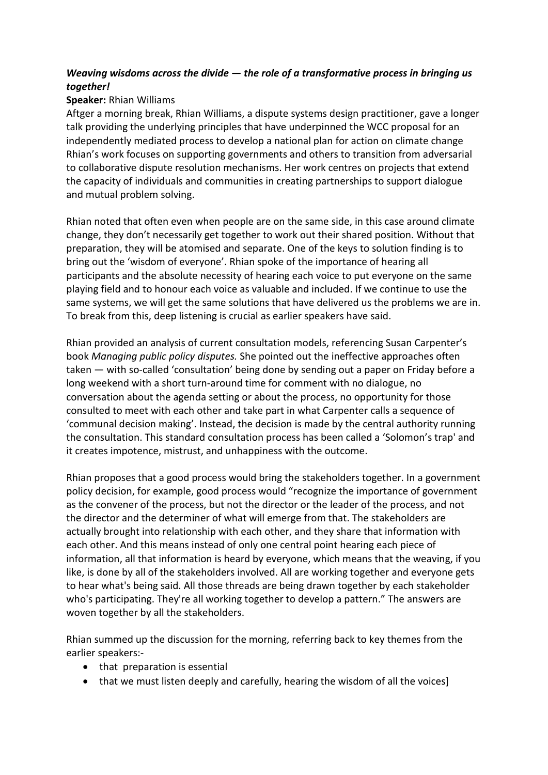# *Weaving wisdoms across the divide — the role of a transformative process in bringing us together!*

# **Speaker:** Rhian Williams

Aftger a morning break, Rhian Williams, a dispute systems design practitioner, gave a longer talk providing the underlying principles that have underpinned the WCC proposal for an independently mediated process to develop a national plan for action on climate change Rhian's work focuses on supporting governments and others to transition from adversarial to collaborative dispute resolution mechanisms. Her work centres on projects that extend the capacity of individuals and communities in creating partnerships to support dialogue and mutual problem solving.

Rhian noted that often even when people are on the same side, in this case around climate change, they don't necessarily get together to work out their shared position. Without that preparation, they will be atomised and separate. One of the keys to solution finding is to bring out the 'wisdom of everyone'. Rhian spoke of the importance of hearing all participants and the absolute necessity of hearing each voice to put everyone on the same playing field and to honour each voice as valuable and included. If we continue to use the same systems, we will get the same solutions that have delivered us the problems we are in. To break from this, deep listening is crucial as earlier speakers have said.

Rhian provided an analysis of current consultation models, referencing Susan Carpenter's book *Managing public policy disputes.* She pointed out the ineffective approaches often taken — with so-called 'consultation' being done by sending out a paper on Friday before a long weekend with a short turn-around time for comment with no dialogue, no conversation about the agenda setting or about the process, no opportunity for those consulted to meet with each other and take part in what Carpenter calls a sequence of 'communal decision making'. Instead, the decision is made by the central authority running the consultation. This standard consultation process has been called a 'Solomon's trap' and it creates impotence, mistrust, and unhappiness with the outcome.

Rhian proposes that a good process would bring the stakeholders together. In a government policy decision, for example, good process would "recognize the importance of government as the convener of the process, but not the director or the leader of the process, and not the director and the determiner of what will emerge from that. The stakeholders are actually brought into relationship with each other, and they share that information with each other. And this means instead of only one central point hearing each piece of information, all that information is heard by everyone, which means that the weaving, if you like, is done by all of the stakeholders involved. All are working together and everyone gets to hear what's being said. All those threads are being drawn together by each stakeholder who's participating. They're all working together to develop a pattern." The answers are woven together by all the stakeholders.

Rhian summed up the discussion for the morning, referring back to key themes from the earlier speakers:-

- that preparation is essential
- that we must listen deeply and carefully, hearing the wisdom of all the voices]